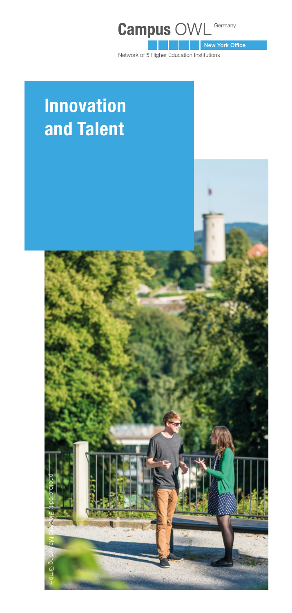

Network of 5 Higher Education Institutions

# **Innovation and Talent**

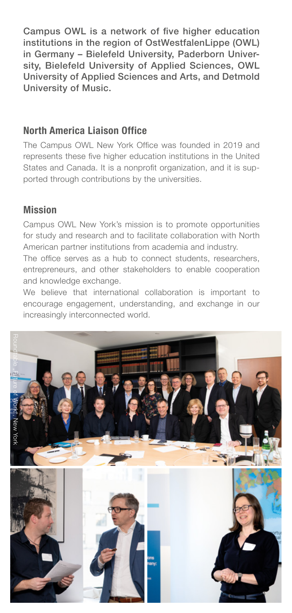Campus OWL is a network of five higher education institutions in the region of OstWestfalenLippe (OWL) in Germany – Bielefeld University, Paderborn University, Bielefeld University of Applied Sciences, OWL University of Applied Sciences and Arts, and Detmold University of Music.

## **North America Liaison Office**

The Campus OWL New York Office was founded in 2019 and represents these five higher education institutions in the United States and Canada. It is a nonprofit organization, and it is supported through contributions by the universities.

## **Mission**

Campus OWL New York's mission is to promote opportunities for study and research and to facilitate collaboration with North American partner institutions from academia and industry.

The office serves as a hub to connect students, researchers, entrepreneurs, and other stakeholders to enable cooperation and knowledge exchange.

We believe that international collaboration is important to encourage engagement, understanding, and exchange in our increasingly interconnected world.

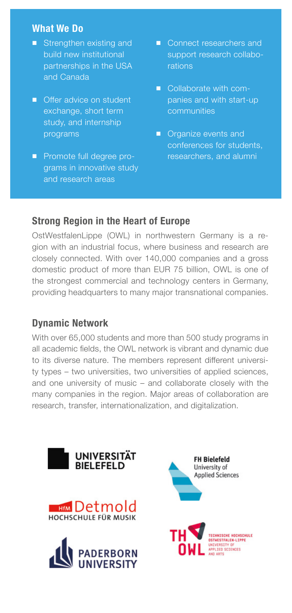#### **What We Do**

- Strengthen existing and build new institutional partnerships in the USA and Canada
- Offer advice on student exchange, short term study, and internship programs
- Promote full degree programs in innovative study and research areas
- Connect researchers and support research collaborations
- Collaborate with companies and with start-up communities
- Organize events and conferences for students, researchers, and alumni

## **Strong Region in the Heart of Europe**

OstWestfalenLippe (OWL) in northwestern Germany is a region with an industrial focus, where business and research are closely connected. With over 140,000 companies and a gross domestic product of more than EUR 75 billion, OWL is one of the strongest commercial and technology centers in Germany, providing headquarters to many major transnational companies.

## **Dynamic Network**

With over 65,000 students and more than 500 study programs in all academic fields, the OWL network is vibrant and dynamic due to its diverse nature. The members represent different university types – two universities, two universities of applied sciences, and one university of music – and collaborate closely with the many companies in the region. Major areas of collaboration are research, transfer, internationalization, and digitalization.